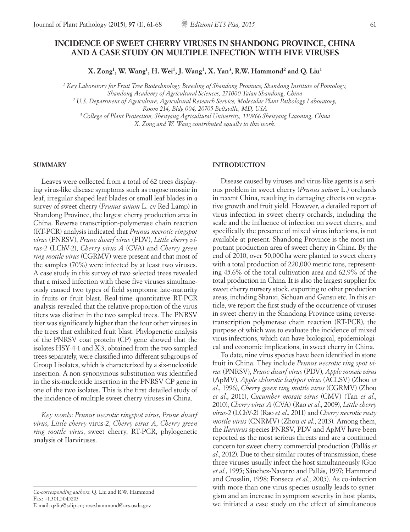# **INCIDENCE OF SWEET CHERRY VIRUSES IN SHANDONG PROVINCE, CHINA AND A CASE STUDY ON MULTIPLE INFECTION WITH FIVE VIRUSES**

**X. Zong1, W. Wang1, H. Wei1, J. Wang1, X. Yan3, R.W. Hammond2 and Q. Liu1**

*1 Key Laboratory for Fruit Tree Biotechnology Breeding of Shandong Province, Shandong Institute of Pomology, Shandong Academy of Agricultural Sciences, 271000 Taian Shandong, China*

*2 U.S. Department of Agriculture, Agricultural Research Service, Molecular Plant Pathology Laboratory, Room 214, Bldg 004, 20705 Beltsville, MD, USA*

*3 College of Plant Protection, Shenyang Agricultural University, 110866 Shenyang Liaoning, China X. Zong and W. Wang contributed equally to this work.*

### **SUMMARY**

Leaves were collected from a total of 62 trees displaying virus-like disease symptoms such as rugose mosaic in leaf, irregular shaped leaf blades or small leaf blades in a survey of sweet cherry (*Prunus avium* L. cv Red Lamp) in Shandong Province, the largest cherry production area in China. Reverse transcription-polymerase chain reaction (RT-PCR) analysis indicated that *Prunus necrotic ringspot virus* (PNRSV), *Prune dwarf virus* (PDV), *Little cherry virus-2* (LChV-2), *Cherry virus A* (CVA) and *Cherry green ring mottle virus* (CGRMV) were present and that most of the samples (70%) were infected by at least two viruses. A case study in this survey of two selected trees revealed that a mixed infection with these five viruses simultaneously caused two types of field symptoms: late-maturity in fruits or fruit blast. Real-time quantitative RT-PCR analysis revealed that the relative proportion of the virus titers was distinct in the two sampled trees. The PNRSV titer was significantly higher than the four other viruses in the trees that exhibited fruit blast. Phylogenetic analysis of the PNRSV coat protein (CP) gene showed that the isolates HSY-4-1 and X-3, obtained from the two sampled trees separately, were classified into different subgroups of Group I isolates, which is characterized by a six-nucleotide insertion. A non-synonymous substitution was identified in the six-nucleotide insertion in the PNRSV CP gene in one of the two isolates. This is the first detailed study of the incidence of multiple sweet cherry viruses in China.

*Key words*: *Prunus necrotic ringspot virus*, *Prune dwarf virus*, *Little cherry* virus-2, *Cherry virus A*, *Cherry green ring mottle virus*, sweet cherry, RT-PCR, phylogenetic analysis of Ilarviruses.

*Co-corresponding authors*: Q. Liu and R.W. Hammond Fax: +1.301.5045203 E-mail: qzliu@sdip.cn; rose.hammond@ars.usda.gov

### **INTRODUCTION**

Disease caused by viruses and virus-like agents is a serious problem in sweet cherry (*Prunus avium* L.) orchards in recent China, resulting in damaging effects on vegetative growth and fruit yield. However, a detailed report of virus infection in sweet cherry orchards, including the scale and the influence of infection on sweet cherry, and specifically the presence of mixed virus infections, is not available at present. Shandong Province is the most important production area of sweet cherry in China. By the end of 2010, over 50,000ha were planted to sweet cherry with a total production of 220,000 metric tons, representing 45.6% of the total cultivation area and 62.9% of the total production in China. It is also the largest supplier for sweet cherry nursery stock, exporting to other production areas, including Shanxi, Sichuan and Gansu etc. In this article, we report the first study of the occurrence of viruses in sweet cherry in the Shandong Province using reversetranscription polymerase chain reaction (RT-PCR), the purpose of which was to evaluate the incidence of mixed virus infections, which can have biological, epidemiological and economic implications, in sweet cherry in China.

To date, nine virus species have been identified in stone fruit in China. They include *Prunus necrotic ring spot virus* (PNRSV), *Prune dwarf virus* (PDV), *Apple mosaic virus*  (ApMV), *Apple chlorotic leafspot virus* (ACLSV) (Zhou *et al*., 1996), *Cherry green ring mottle virus* (CGRMV) (Zhou *et al*., 2011), *Cucumber mosaic virus* (CMV) (Tan *et al*., 2010), *Cherry virus A* (CVA) (Rao *et al*., 2009), *Little cherry virus-2* (LChV-2) (Rao *et al*., 2011) and *Cherry necrotic rusty mottle virus* (CNRMV) (Zhou *et al.*, 2013). Among them, the *Ilarvirus* species PNRSV, PDV and ApMV have been reported as the most serious threats and are a continued concern for sweet cherry commercial production (Pallás *et al*., 2012). Due to their similar routes of transmission, these three viruses usually infect the host simultaneously (Guo *et al.*, 1995; Sánchez-Navarro and Pallás, 1997; Hammond and Crosslin, 1998; Fonseca *et al.*, 2005). As co-infection with more than one virus species usually leads to synergism and an increase in symptom severity in host plants, we initiated a case study on the effect of simultaneous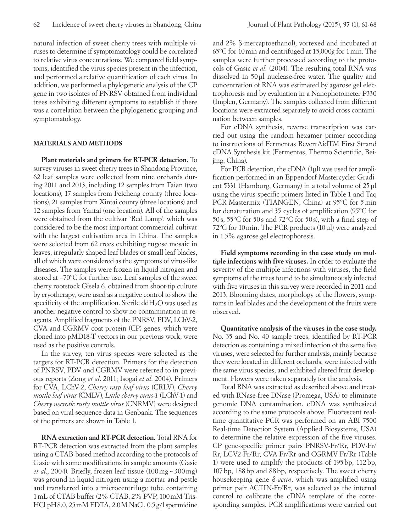natural infection of sweet cherry trees with multiple viruses to determine if symptomatology could be correlated to relative virus concentrations. We compared field symptoms, identified the virus species present in the infection, and performed a relative quantification of each virus. In addition, we performed a phylogenetic analysis of the CP gene in two isolates of PNRSV obtained from individual trees exhibiting different symptoms to establish if there was a correlation between the phylogenetic grouping and symptomatology.

### **MATERIALS AND METHODS**

**Plant materials and primers for RT-PCR detection.** To survey viruses in sweet cherry trees in Shandong Province, 62 leaf samples were collected from nine orchards during 2011 and 2013, including 12 samples from Taian (two locations), 17 samples from Feicheng county (three locations), 21 samples from Xintai county (three locations) and 12 samples from Yantai (one location). All of the samples were obtained from the cultivar 'Red Lamp', which was considered to be the most important commercial cultivar with the largest cultivation area in China. The samples were selected from 62 trees exhibiting rugose mosaic in leaves, irregularly shaped leaf blades or small leaf blades, all of which were considered as the symptoms of virus-like diseases. The samples were frozen in liquid nitrogen and stored at −70ºC for further use. Leaf samples of the sweet cherry rootstock Gisela 6, obtained from shoot-tip culture by cryotherapy, were used as a negative control to show the specificity of the amplification. Sterile  $ddH_2O$  was used as another negative control to show no contamination in reagents. Amplified fragments of the PNRSV, PDV, LChV-2, CVA and CGRMV coat protein (CP) genes, which were cloned into pMD18-T vectors in our previous work, were used as the positive controls.

In the survey, ten virus species were selected as the targets for RT-PCR detection. Primers for the detection of PNRSV, PDV and CGRMV were referred to in previous reports (Zong *et al*. 2011; Isogai *et al*. 2004). Primers for CVA, LChV-2, *Cherry rasp leaf virus* (CRLV), *Cherry mottle leaf virus* (CMLV), *Little cherry virus-1* (LChV-1) and *Cherry necrotic rusty mottle virus* (CNRMV) were designed based on viral sequence data in Genbank. The sequences of the primers are shown in Table 1.

**RNA extraction and RT-PCR detection.** Total RNA for RT-PCR detection was extracted from the plant samples using a CTAB-based method according to the protocols of Gasic with some modifications in sample amounts (Gasic *et al*., 2004). Briefly, frozen leaf tissue (100mg~300mg) was ground in liquid nitrogen using a mortar and pestle and transferred into a microcentrifuge tube containing 1mL of CTAB buffer (2% CTAB, 2% PVP, 100mM Tris-HCl pH8.0, 25mM EDTA, 2.0M NaCl, 0.5g/l spermidine and 2% β-mercaptoethanol), vortexed and incubated at 65ºC for 10min and centrifuged at 15,000*g* for 1min. The samples were further processed according to the protocols of Gasic *et al*. (2004). The resulting total RNA was dissolved in 50μl nuclease-free water. The quality and concentration of RNA was estimated by agarose gel electrophoresis and by evaluation in a Nanophotometer P330 (Implen, Germany). The samples collected from different locations were extracted separately to avoid cross contamination between samples.

For cDNA synthesis, reverse transcription was carried out using the random hexamer primer according to instructions of Fermentas RevertAidTM First Strand cDNA Synthesis kit (Fermentas, Thermo Scientific, Beijing, China).

For PCR detection, the cDNA (1µl) was used for amplification performed in an Eppendorf Mastercycler Gradient 5331 (Hamburg, Germany) in a total volume of 25 µl using the virus-specific primers listed in Table 1 and Taq PCR Mastermix (TIANGEN, China) at 95ºC for 5min for denaturation and 35 cycles of amplification (95ºC for 50 s, 55ºC for 50 s and 72ºC for 50 s), with a final step of 72ºC for 10min. The PCR products (10μl) were analyzed in 1.5% agarose gel electrophoresis.

**Field symptoms recording in the case study on multiple infections with five viruses.** In order to evaluate the severity of the multiple infections with viruses, the field symptoms of the trees found to be simultaneously infected with five viruses in this survey were recorded in 2011 and 2013. Blooming dates, morphology of the flowers, symptoms in leaf blades and the development of the fruits were observed.

**Quantitative analysis of the viruses in the case study.**  No. 35 and No. 40 sample trees, identified by RT-PCR detection as containing a mixed infection of the same five viruses, were selected for further analysis, mainly because they were located in different orchards, were infected with the same virus species, and exhibited altered fruit development. Flowers were taken separately for the analysis.

Total RNA was extracted as described above and treated with RNase-free DNase (Promega, USA) to eliminate genomic DNA contamination. cDNA was synthesized according to the same protocols above. Fluorescent realtime quantitative PCR was performed on an ABI 7500 Real-time Detection System (Applied Biosystems, USA) to determine the relative expression of the five viruses. CP gene-specific primer pairs PNRSV-Fr/Rr, PDV-Fr/ Rr, LCV2-Fr/Rr, CVA-Fr/Rr and CGRMV-Fr/Rr (Table 1) were used to amplify the products of 195bp, 112bp, 107bp, 188bp and 88bp, respectively. The sweet cherry housekeeping gene *β-actin*, which was amplified using primer pair ACTIN-Fr/Rr, was selected as the internal control to calibrate the cDNA template of the corresponding samples. PCR amplifications were carried out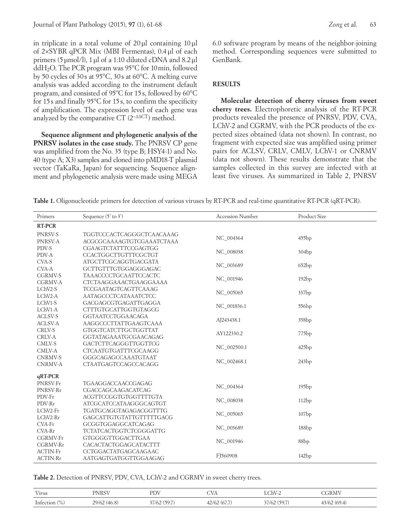in triplicate in a total volume of 20μl containing 10μl of 2×SYBR qPCR Mix (MBI Fermentas), 0.4μl of each primers (5μmol/l), 1μl of a 1:10 diluted cDNA and 8.2μl ddH2O. The PCR program was 95°C for 10min, followed by 50 cycles of 30s at 95°C, 30s at 60°C. A melting curve analysis was added according to the instrument default program, and consisted of 95ºC for 15s, followed by 60°C for 15s and finally 95°C for 15s, to confirm the specificity of amplification. The expression level of each gene was analyzed by the comparative CT  $(2^{-\Delta\Delta CT})$  method.

**Sequence alignment and phylogenetic analysis of the PNRSV isolates in the case study.** The PNRSV CP gene was amplified from the No. 35 (type B; HSY4-1) and No. 40 (type A; X3) samples and cloned into pMD18-T plasmid vector (TaKaRa, Japan) for sequencing. Sequence alignment and phylogenetic analysis were made using MEGA 6.0 software program by means of the neighbor-joining method. Corresponding sequences were submitted to GenBank.

## **RESULTS**

**Molecular detection of cherry viruses from sweet cherry trees.** Electrophoretic analysis of the RT-PCR products revealed the presence of PNRSV, PDV, CVA, LChV-2 and CGRMV, with the PCR products of the expected sizes obtained (data not shown). In contrast, no fragment with expected size was amplified using primer pairs for ACLSV, CRLV, CMLV, LChV-1 or CNRMV (data not shown). These results demonstrate that the samples collected in this survey are infected with at least five viruses. As summarized in Table 2, PNRSV

**Table 1.** Oligonucleotide primers for detection of various viruses by RT-PCR and real-time quantitative RT-PCR (qRT-PCR).

| Primers            | Sequence $(5'$ to $3')$                      | <b>Accession Number</b> | <b>Product Size</b> |  |
|--------------------|----------------------------------------------|-------------------------|---------------------|--|
| <b>RT-PCR</b>      |                                              |                         |                     |  |
| PNRSV-S            | TGGTCCCACTCAGGGCTCAACAAAG                    | NC 004364               | 455bp               |  |
| PNRSV-A            | ACGCGCAAAAGTGTCGAAATCTAAA                    |                         |                     |  |
| PDV-S              | <b>CGAAGTCTATTTCCGAGTGG</b>                  | NC_008038               | 304bp               |  |
| PDV-A              | CCACTGGCTTGTTTCGCTGT                         |                         |                     |  |
| CVA-S              | <b>ATGCTTCGCAGGTGACGATA</b>                  | NC_003689               | 652bp               |  |
| CVA-A              | GCTTGTTTGTGGAGGGAGAC                         |                         |                     |  |
| <b>CGRMV-S</b>     | <b>TAAACCCCTGCAATTCCACTC</b>                 | NC_001946               | 192bp               |  |
| <b>CGRMV-A</b>     | CTCTAAGGAAACTGAAGGAAAA                       |                         |                     |  |
| LChV2-S            | TCCGAATAGTCAGTTCAAAG                         | NC_005065               | 337bp               |  |
| LChV2-A<br>LChV1-S | AATAGCCCTCATAAATCTCC<br>GACGAGCGTGAGATTGAGGA |                         |                     |  |
| LChV1-A            | <b>CTTTGTGCATTGGTGTAGCG</b>                  | NC_001836.1             | 556 <sub>bp</sub>   |  |
| <b>ACLSV-S</b>     | <b>GGTAATCCTGGAACAGA</b>                     |                         |                     |  |
| <b>ACLSV-A</b>     | AAGGCCCTTATTGAAGTCAAA                        | AJ243438.1              | 358 <sub>bp</sub>   |  |
| CRLV-S             | GTGGTCATCTTGCTGGTTAT                         |                         | 775bp               |  |
| CRLV-A             | GGTATAGAAATGCGAACAGAG                        | AY122330.2              |                     |  |
| CMLV-S             | GACTCTTCAGGGTTGGTTCG                         |                         | 425bp               |  |
| CMLV-A             | CTCAATGTGATTTCGCAAGG                         | NC_002500.1             |                     |  |
| <b>CNRMV-S</b>     | GGGCAGAGCCAAATGTAAT                          |                         |                     |  |
| <b>CNRMV-A</b>     | <b>CTAATGAGTCCAGCCACAGG</b>                  | NC 002468.1             | 243bp               |  |
| qRT-PCR            |                                              |                         |                     |  |
| PNRSV-Fr           | TGAAGGACCAACCGAGAG                           |                         |                     |  |
| PNRSV-Rr           | CGACCAGCAAGACATCAG                           | NC 004364               | 195bp               |  |
| PDV-Fr             | ACGTTCCGGTGTGGTTTTGTA                        | NC_008038               | 112bp               |  |
| PDV-Rr             | ATCGCATCCATAAGGGCAGTGT                       |                         |                     |  |
| LChV2-Fr           | TGATGCAGGTAGAGACGGTTTG                       | NC_005065               | 107bp               |  |
| LChV2-Rr           | GAGCATTGTGTATTGTTTTTGACG                     |                         |                     |  |
| CVA-Fr             | GCGGTGGAGGCATCAGAG                           | NC_003689               | 188bp               |  |
| CVA-Rr             | <b>TCTATCACTGGTCTCGGGATTG</b>                |                         |                     |  |
| <b>CGRMV-Fr</b>    | GTGGGGTTGGACTTGAA                            | NC_001946               | 88 <sub>bp</sub>    |  |
| <b>CGRMV-Rr</b>    | CACACTACTGGAGCATACTTT                        |                         |                     |  |
| ACTIN-Fr           | CCTGGACTATGAGCAAGAAC                         | FJ560908                | 142bp               |  |
| ACTIN-Rr           | AATGAGTGATGGTTGGAAGAG                        |                         |                     |  |

Table 2. Detection of PNRSV, PDV, CVA, LChV-2 and CGRMV in sweet cherry trees.

| Virus            | <b>PNRSV</b> | PDV         | CVA         | $LChV-2$      | CGRMV        |
|------------------|--------------|-------------|-------------|---------------|--------------|
| Infection $(\%)$ | 29/62 (46.8) | (59.7 7/62) | 42/62(67.7) | - 7/62 (59.7) | 43/62 (69.4) |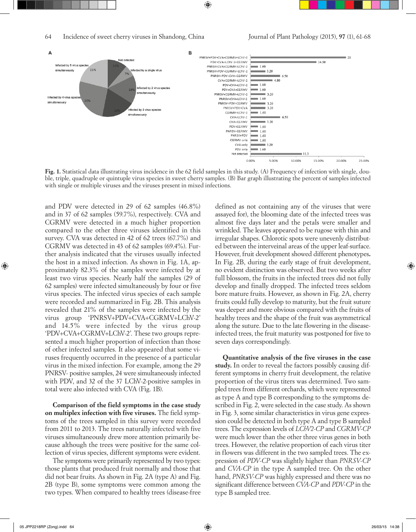

Fig. 1. Statistical data illustrating virus incidence in the 62 field samples in this study. (A) Frequency of infection with single, double, triple, quadruple or quintuple virus species in sweet cherry samples. (B) Bar graph illustrating the percent of samples infected with single or multiple viruses and the viruses present in mixed infections.

and PDV were detected in 29 of 62 samples (46.8%) and in 37 of 62 samples (59.7%), respectively. CVA and CGRMV were detected in a much higher proportion compared to the other three viruses identified in this survey. CVA was detected in 42 of 62 trees (67.7%) and CGRMV was detected in 43 of 62 samples (69.4%). Further analysis indicated that the viruses usually infected the host in a mixed infection. As shown in Fig. 1A, approximately 82.3% of the samples were infected by at least two virus species. Nearly half the samples (29 of 62 samples) were infected simultaneously by four or five virus species. The infected virus species of each sample were recorded and summarized in Fig. 2B. This analysis revealed that 21% of the samples were infected by the virus group 'PNRSV+PDV+CVA+CGRMV+LChV-2' and 14.5% were infected by the virus group 'PDV+CVA+CGRMV+LChV-2'. These two groups represented a much higher proportion of infection than those of other infected samples. It also appeared that some viruses frequently occurred in the presence of a particular virus in the mixed infection. For example, among the 29 PNRSV- positive samples, 24 were simultaneously infected with PDV, and 32 of the 37 LChV-2-positive samples in total were also infected with CVA (Fig. 1B).

**Comparison of the field symptoms in the case study on multiplex infection with five viruses.** The field symptoms of the trees sampled in this survey were recorded from 2011 to 2013. The trees naturally infected with five viruses simultaneously drew more attention primarily because although the trees were positive for the same collection of virus species, different symptoms were evident.

The symptoms were primarily represented by two types: those plants that produced fruit normally and those that did not bear fruits. As shown in Fig. 2A (type A) and Fig. 2B (type B), some symptoms were common among the two types. When compared to healthy trees (disease-free

defined as not containing any of the viruses that were assayed for), the blooming date of the infected trees was almost five days later and the petals were smaller and wrinkled. The leaves appeared to be rugose with thin and irregular shapes. Chlorotic spots were unevenly distributed between the interveinal areas of the upper leaf-surface. However, fruit development showed different phenotypes**.** In Fig. 2B, during the early stage of fruit development, no evident distinction was observed. But two weeks after full blossom, the fruits in the infected trees did not fully develop and finally dropped. The infected trees seldom bore mature fruits. However, as shown in Fig. 2A, cherry fruits could fully develop to maturity, but the fruit suture was deeper and more obvious compared with the fruits of healthy trees and the shape of the fruit was asymmetrical along the suture. Due to the late flowering in the diseaseinfected trees, the fruit maturity was postponed for five to seven days correspondingly.

**Quantitative analysis of the five viruses in the case study.** In order to reveal the factors possibly causing different symptoms in cherry fruit development, the relative proportion of the virus titers was determined. Two sampled trees from different orchards, which were represented as type A and type B corresponding to the symptoms described in Fig. 2, were selected in the case study. As shown in Fig. 3, some similar characteristics in virus gene expression could be detected in both type A and type B sampled trees. The expression levels of *LChV2-CP* and *CGRMV-CP* were much lower than the other three virus genes in both trees. However, the relative proportion of each virus titer in flowers was different in the two sampled trees. The expression of *PDV-CP* was slightly higher than *PNRSV-CP* and *CVA-CP* in the type A sampled tree. On the other hand, *PNRSV-CP* was highly expressed and there was no significant difference between *CVA-CP* and *PDV-CP* in the type B sampled tree.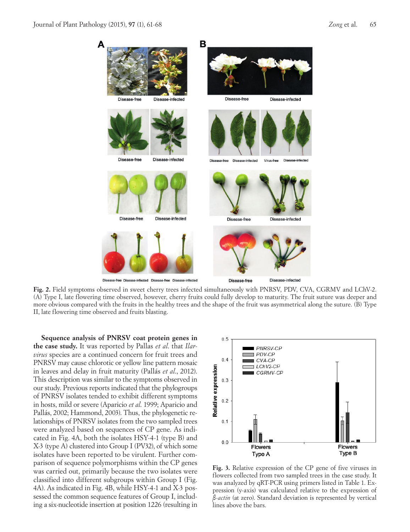

**Fig. 2.** Field symptoms observed in sweet cherry trees infected simultaneously with PNRSV, PDV, CVA, CGRMV and LChV-2. (A) Type I, late flowering time observed, however, cherry fruits could fully develop to maturity. The fruit suture was deeper and more obvious compared with the fruits in the healthy trees and the shape of the fruit was asymmetrical along the suture. (B) Type II, late flowering time observed and fruits blasting.

**Sequence analysis of PNRSV coat protein genes in the case study.** It was reported by Pallas *et al*. that *Ilarvirus* species are a continued concern for fruit trees and PNRSV may cause chlorotic or yellow line pattern mosaic in leaves and delay in fruit maturity (Pallás *et al*., 2012). This description was similar to the symptoms observed in our study. Previous reports indicated that the phylogroups of PNRSV isolates tended to exhibit different symptoms in hosts, mild or severe (Aparicio *et al*. 1999; Aparicio and Pallás, 2002; Hammond, 2003). Thus, the phylogenetic relationships of PNRSV isolates from the two sampled trees were analyzed based on sequences of CP gene. As indicated in Fig. 4A, both the isolates HSY-4-1 (type B) and X-3 (type A) clustered into Group I (PV32), of which some isolates have been reported to be virulent. Further comparison of sequence polymorphisms within the CP genes was carried out, primarily because the two isolates were classified into different subgroups within Group I (Fig. 4A). As indicated in Fig. 4B, while HSY-4-1 and X-3 possessed the common sequence features of Group I, including a six-nucleotide insertion at position 1226 (resulting in



**Fig. 3.** Relative expression of the CP gene of five viruses in flowers collected from two sampled trees in the case study. It was analyzed by qRT-PCR using primers listed in Table 1. Expression (y-axis) was calculated relative to the expression of *β-actin* (at zero). Standard deviation is represented by vertical lines above the bars.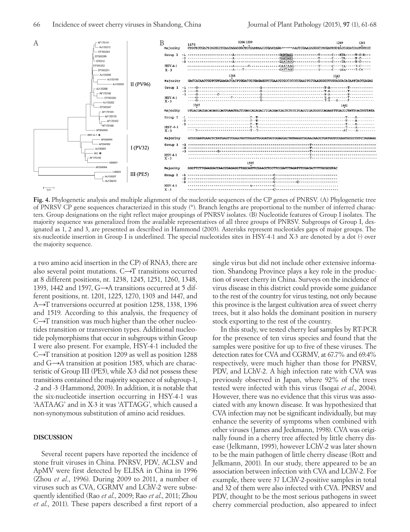

**Fig. 4.** Phylogenetic analysis and multiple alignment of the nucleotide sequences of the CP genes of PNRSV. (A) Phylogenetic tree of PNRSV CP gene sequences characterized in this study (\*). Branch lengths are proportional to the number of inferred characters. Group designations on the right reflect major groupings of PNRSV isolates. (B) Nucleotide features of Group I isolates. The majority sequence was generalized from the available representatives of all three groups of PNRSV. Subgroups of Group I, designated as 1, 2 and 3, are presented as described in Hammond (2003). Asterisks represent nucleotides gaps of major groups. The six-nucleotide insertion in Group I is underlined. The special nucleotides sites in HSY-4-1 and X-3 are denoted by a dot (·) over the majority sequence.

a two amino acid insertion in the CP) of RNA3, there are also several point mutations.  $C\rightarrow T$  transitions occurred at 8 different positions, nt. 1238, 1245, 1251, 1260, 1348, 1393, 1442 and 1597, G→A transitions occurred at 5 different positions, nt. 1201, 1225, 1270, 1303 and 1447, and A→T tranversions occurred at position 1258, 1338, 1396 and 1519. According to this analysis, the frequency of  $C\rightarrow T$  transition was much higher than the other nucleotides transition or transversion types. Additional nucleotide polymorphisms that occur in subgroups within Group I were also present. For example, HSY-4-1 included the C→T transition at position 1209 as well as position 1288 and  $G \rightarrow A$  transition at position 1585, which are characteristic of Group III (PE5), while X-3 did not possess these transitions contained the majority sequence of subgroup-1, -2 and -3 (Hammond, 2003). In addition, it is notable that the six-nucleotide insertion occurring in HSY-4-1 was 'AATAAG' and in X-3 it was 'ATTAGG', which caused a non-synonymous substitution of amino acid residues.

### **DISCUSSION**

Several recent papers have reported the incidence of stone fruit viruses in China. PNRSV, PDV, ACLSV and ApMV were first detected by ELISA in China in 1996 (Zhou *et al.*, 1996). During 2009 to 2011, a number of viruses such as CVA, CGRMV and LChV-2 were subsequently identified (Rao *et al*., 2009; Rao *et al*., 2011; Zhou *et al*., 2011). These papers described a first report of a single virus but did not include other extensive information. Shandong Province plays a key role in the production of sweet cherry in China. Surveys on the incidence of virus disease in this district could provide some guidance to the rest of the country for virus testing, not only because this province is the largest cultivation area of sweet cherry trees, but it also holds the dominant position in nursery stock exporting to the rest of the country.

In this study, we tested cherry leaf samples by RT-PCR for the presence of ten virus species and found that the samples were positive for up to five of these viruses. The detection rates for CVA and CGRMV, at 67.7% and 69.4% respectively, were much higher than those for PNRSV, PDV, and LChV-2. A high infection rate with CVA was previously observed in Japan, where 92% of the trees tested were infected with this virus (Isogai *et al*., 2004). However, there was no evidence that this virus was associated with any known disease. It was hypothesized that CVA infection may not be significant individually, but may enhance the severity of symptoms when combined with other viruses (James and Jeckmann, 1998). CVA was originally found in a cherry tree affected by little cherry disease (Jelkmann, 1995), however LChV-2 was later shown to be the main pathogen of little cherry disease (Rott and Jelkmann, 2001). In our study, there appeared to be an association between infection with CVA and LChV-2. For example, there were 37 LChV-2-positive samples in total and 32 of them were also infected with CVA. PNRSV and PDV, thought to be the most serious pathogens in sweet cherry commercial production, also appeared to infect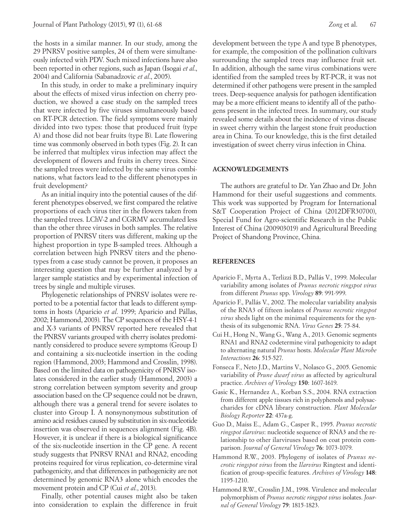the hosts in a similar manner. In our study, among the 29 PNRSV positive samples, 24 of them were simultaneously infected with PDV. Such mixed infections have also been reported in other regions, such as Japan (Isogai *et al*., 2004) and California (Sabanadzovic *et al*., 2005).

In this study, in order to make a preliminary inquiry about the effects of mixed virus infection on cherry production, we showed a case study on the sampled trees that were infected by five viruses simultaneously based on RT-PCR detection. The field symptoms were mainly divided into two types: those that produced fruit (type A) and those did not bear fruits (type B). Late flowering time was commonly observed in both types (Fig. 2). It can be inferred that multiplex virus infection may affect the development of flowers and fruits in cherry trees. Since the sampled trees were infected by the same virus combinations, what factors lead to the different phenotypes in fruit development?

As an initial inquiry into the potential causes of the different phenotypes observed, we first compared the relative proportions of each virus titer in the flowers taken from the sampled trees. LChV-2 and CGRMV accumulated less than the other three viruses in both samples. The relative proportion of PNRSV titers was different, making up the highest proportion in type B-sampled trees. Although a correlation between high PNRSV titers and the phenotypes from a case study cannot be proven, it proposes an interesting question that may be further analyzed by a larger sample statistics and by experimental infection of trees by single and multiple viruses.

Phylogenetic relationships of PNRSV isolates were reported to be a potential factor that leads to different symptoms in hosts (Aparicio *et al*. 1999; Aparicio and Pállas, 2002; Hammond, 2003). The CP sequences of the HSY-4-1 and X-3 variants of PNRSV reported here revealed that the PNRSV variants grouped with cherry isolates predominantly considered to produce severe symptoms (Group I) and containing a six-nucleotide insertion in the coding region (Hammond, 2003; Hammond and Crosslin, 1998). Based on the limited data on pathogenicity of PNRSV isolates considered in the earlier study (Hammond, 2003) a strong correlation between symptom severity and group association based on the CP sequence could not be drawn, although there was a general trend for severe isolates to cluster into Group I. A nonsynonymous substitution of amino acid residues caused by substitution in six-nucleotide insertion was observed in sequences alignment (Fig. 4B). However, it is unclear if there is a biological significance of the six-nucleotide insertion in the CP gene. A recent study suggests that PNRSV RNA1 and RNA2, encoding proteins required for virus replication, co-determine viral pathogenicity, and that differences in pathogenicity are not determined by genomic RNA3 alone which encodes the movement protein and CP (Cui *et al.*, 2013).

Finally, other potential causes might also be taken into consideration to explain the difference in fruit

development between the type A and type B phenotypes, for example, the composition of the pollination cultivars surrounding the sampled trees may influence fruit set. In addition, although the same virus combinations were identified from the sampled trees by RT-PCR, it was not determined if other pathogens were present in the sampled trees. Deep-sequence analysis for pathogen identification may be a more efficient means to identify all of the pathogens present in the infected trees. In summary, our study revealed some details about the incidence of virus disease in sweet cherry within the largest stone fruit production area in China. To our knowledge, this is the first detailed investigation of sweet cherry virus infection in China.

# **ACKNOWLEDGEMENTS**

The authors are grateful to Dr. Yan Zhao and Dr. John Hammond for their useful suggestions and comments. This work was supported by Program for International S&T Cooperation Project of China (2012DFR30700), Special Fund for Agro-scientific Research in the Public Interest of China (200903019) and Agricultural Breeding Project of Shandong Province, China.

### **REFERENCES**

- Aparicio F., Myrta A., Terlizzi B.D., Pallás V., 1999. Molecular variability among isolates of *Prunus necrotic ringspot virus* from different *Prunus* spp. *Virology* **89**: 991-999.
- Aparicio F., Pallás V., 2002. The molecular variability analysis of the RNA3 of fifteen isolates of *Prunus necrotic ringspot virus* sheds light on the minimal requirements for the synthesis of its subgenomic RNA. *Virus Genes* **25**: 75-84.
- Cui H., Hong N., Wang G., Wang A., 2013. Genomic segments RNA1 and RNA2 codetermine viral pathogenicity to adapt to alternating natural *Prunus* hosts. *Molecular Plant Microbe Interactions* **26**: 515-527.
- Fonseca F., Neto J.D., Martins V., Nolasco G., 2005. Genomic variability of *Prune dwarf virus* as affected by agricultural practice. *Archives of Virology* **150**: 1607-1619.
- Gasic K., Hernandez A., Korban S.S., 2004. RNA extraction from different apple tissues rich in polyphenols and polysaccharides for cDNA library construction. *Plant Molecular Biology Reporter* **22**: 437a-g.
- Guo D., Maiss E., Adam G., Casper R., 1995. *Prunus necrotic ringspot ilarvirus*: nucleotide sequence of RNA3 and the relationship to other ilarviruses based on coat protein comparison. *Journal of General Virology* **76**: 1073-1079.
- Hammond R.W., 2003. Phylogeny of isolates of *Prunus necrotic ringspot virus* from the *Ilarvirus* Ringtest and identification of group-specific features. *Archives of Virology* **148**: 1195-1210.
- Hammond R.W., Crosslin J.M., 1998. Virulence and molecular polymorphism of *Prunus necrotic ringspot virus* isolates. *Journal of General Virology* **79**: 1815-1823.